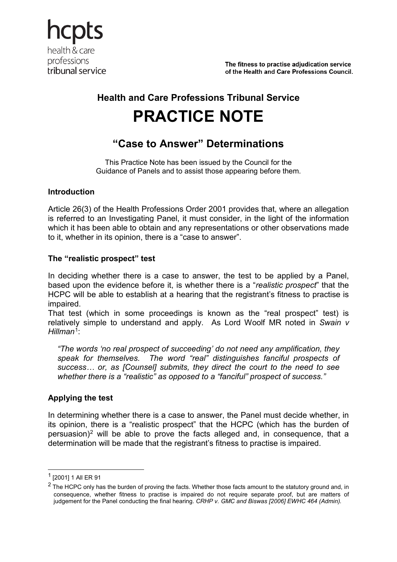hcpts health & care professions tribunal service

The fitness to practise adjudication service of the Health and Care Professions Council.

# **Health and Care Professions Tribunal Service PRACTICE NOTE**

## **"Case to Answer" Determinations**

This Practice Note has been issued by the Council for the Guidance of Panels and to assist those appearing before them.

## **Introduction**

Article 26(3) of the Health Professions Order 2001 provides that, where an allegation is referred to an Investigating Panel, it must consider, in the light of the information which it has been able to obtain and any representations or other observations made to it, whether in its opinion, there is a "case to answer".

## **The "realistic prospect" test**

In deciding whether there is a case to answer, the test to be applied by a Panel, based upon the evidence before it, is whether there is a "*realistic prospect*" that the HCPC will be able to establish at a hearing that the registrant's fitness to practise is impaired.

That test (which in some proceedings is known as the "real prospect" test) is relatively simple to understand and apply. As Lord Woolf MR noted in *Swain v Hillman*[1](#page-0-0):

*"The words 'no real prospect of succeeding' do not need any amplification, they speak for themselves. The word "real" distinguishes fanciful prospects of success… or, as [Counsel] submits, they direct the court to the need to see whether there is a "realistic" as opposed to a "fanciful" prospect of success."*

## **Applying the test**

In determining whether there is a case to answer, the Panel must decide whether, in its opinion, there is a "realistic prospect" that the HCPC (which has the burden of persuasion)<sup>[2](#page-0-1)</sup> will be able to prove the facts alleged and, in consequence, that a determination will be made that the registrant's fitness to practise is impaired.

1

<span id="page-0-0"></span> $<sup>1</sup>$  [2001] 1 All ER 91</sup>

<span id="page-0-1"></span> $2$  The HCPC only has the burden of proving the facts. Whether those facts amount to the statutory ground and, in consequence, whether fitness to practise is impaired do not require separate proof, but are matters of judgement for the Panel conducting the final hearing. *CRHP v. GMC and Biswas [2006] EWHC 464 (Admin).*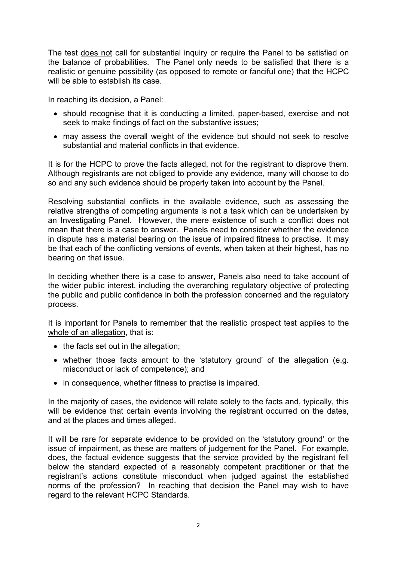The test does not call for substantial inquiry or require the Panel to be satisfied on the balance of probabilities. The Panel only needs to be satisfied that there is a realistic or genuine possibility (as opposed to remote or fanciful one) that the HCPC will be able to establish its case.

In reaching its decision, a Panel:

- should recognise that it is conducting a limited, paper-based, exercise and not seek to make findings of fact on the substantive issues;
- may assess the overall weight of the evidence but should not seek to resolve substantial and material conflicts in that evidence.

It is for the HCPC to prove the facts alleged, not for the registrant to disprove them. Although registrants are not obliged to provide any evidence, many will choose to do so and any such evidence should be properly taken into account by the Panel.

Resolving substantial conflicts in the available evidence, such as assessing the relative strengths of competing arguments is not a task which can be undertaken by an Investigating Panel. However, the mere existence of such a conflict does not mean that there is a case to answer. Panels need to consider whether the evidence in dispute has a material bearing on the issue of impaired fitness to practise. It may be that each of the conflicting versions of events, when taken at their highest, has no bearing on that issue.

In deciding whether there is a case to answer, Panels also need to take account of the wider public interest, including the overarching regulatory objective of protecting the public and public confidence in both the profession concerned and the regulatory process.

It is important for Panels to remember that the realistic prospect test applies to the whole of an allegation, that is:

- the facts set out in the allegation;
- whether those facts amount to the 'statutory ground' of the allegation (e.g. misconduct or lack of competence); and
- in consequence, whether fitness to practise is impaired.

In the majority of cases, the evidence will relate solely to the facts and, typically, this will be evidence that certain events involving the registrant occurred on the dates, and at the places and times alleged.

It will be rare for separate evidence to be provided on the 'statutory ground' or the issue of impairment, as these are matters of judgement for the Panel. For example, does, the factual evidence suggests that the service provided by the registrant fell below the standard expected of a reasonably competent practitioner or that the registrant's actions constitute misconduct when judged against the established norms of the profession? In reaching that decision the Panel may wish to have regard to the relevant HCPC Standards.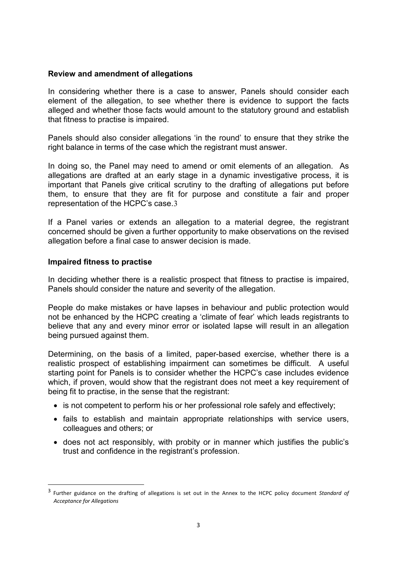#### **Review and amendment of allegations**

In considering whether there is a case to answer, Panels should consider each element of the allegation, to see whether there is evidence to support the facts alleged and whether those facts would amount to the statutory ground and establish that fitness to practise is impaired.

Panels should also consider allegations 'in the round' to ensure that they strike the right balance in terms of the case which the registrant must answer.

In doing so, the Panel may need to amend or omit elements of an allegation. As allegations are drafted at an early stage in a dynamic investigative process, it is important that Panels give critical scrutiny to the drafting of allegations put before them, to ensure that they are fit for purpose and constitute a fair and proper representation of the HCPC's case.[3](#page-2-0)

If a Panel varies or extends an allegation to a material degree, the registrant concerned should be given a further opportunity to make observations on the revised allegation before a final case to answer decision is made.

#### **Impaired fitness to practise**

1

In deciding whether there is a realistic prospect that fitness to practise is impaired, Panels should consider the nature and severity of the allegation.

People do make mistakes or have lapses in behaviour and public protection would not be enhanced by the HCPC creating a 'climate of fear' which leads registrants to believe that any and every minor error or isolated lapse will result in an allegation being pursued against them.

Determining, on the basis of a limited, paper-based exercise, whether there is a realistic prospect of establishing impairment can sometimes be difficult. A useful starting point for Panels is to consider whether the HCPC's case includes evidence which, if proven, would show that the registrant does not meet a key requirement of being fit to practise, in the sense that the registrant:

- is not competent to perform his or her professional role safely and effectively;
- fails to establish and maintain appropriate relationships with service users, colleagues and others; or
- does not act responsibly, with probity or in manner which justifies the public's trust and confidence in the registrant's profession.

<span id="page-2-0"></span><sup>3</sup> Further guidance on the drafting of allegations is set out in the Annex to the HCPC policy document *Standard of Acceptance for Allegations*